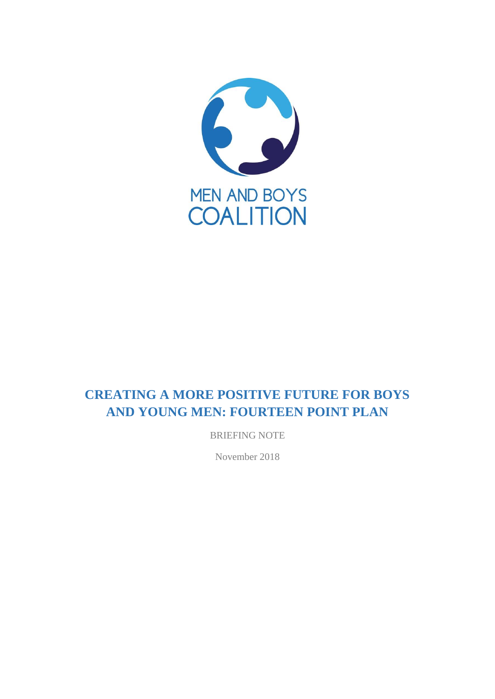

# **CREATING A MORE POSITIVE FUTURE FOR BOYS AND YOUNG MEN: FOURTEEN POINT PLAN**

BRIEFING NOTE

November 2018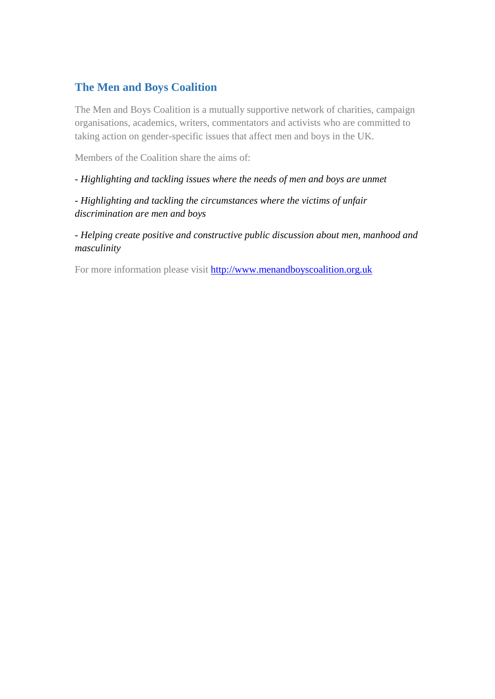# **The Men and Boys Coalition**

The Men and Boys Coalition is a mutually supportive network of charities, campaign organisations, academics, writers, commentators and activists who are committed to taking action on gender-specific issues that affect men and boys in the UK.

Members of the Coalition share the aims of:

*- Highlighting and tackling issues where the needs of men and boys are unmet*

*- Highlighting and tackling the circumstances where the victims of unfair discrimination are men and boys*

*- Helping create positive and constructive public discussion about men, manhood and masculinity*

For more information please visit [http://www.menandboyscoalition.org.uk](http://www.menandboyscoalition.org.uk/)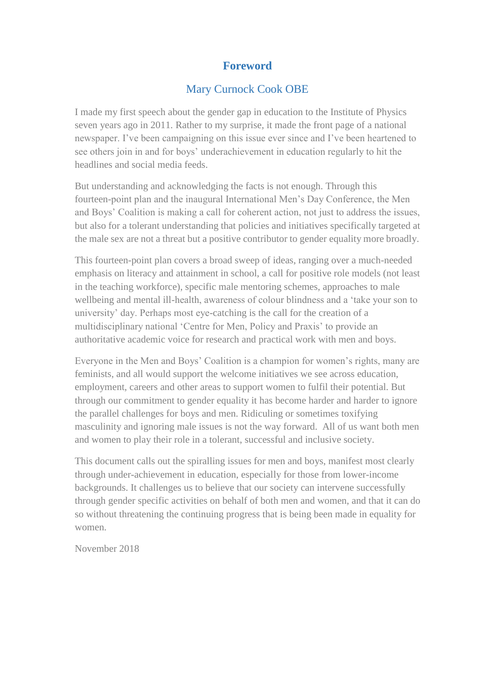# **Foreword**

# Mary Curnock Cook OBE

I made my first speech about the gender gap in education to the Institute of Physics seven years ago in 2011. Rather to my surprise, it made the front page of a national newspaper. I've been campaigning on this issue ever since and I've been heartened to see others join in and for boys' underachievement in education regularly to hit the headlines and social media feeds.

But understanding and acknowledging the facts is not enough. Through this fourteen-point plan and the inaugural International Men's Day Conference, the Men and Boys' Coalition is making a call for coherent action, not just to address the issues, but also for a tolerant understanding that policies and initiatives specifically targeted at the male sex are not a threat but a positive contributor to gender equality more broadly.

This fourteen-point plan covers a broad sweep of ideas, ranging over a much-needed emphasis on literacy and attainment in school, a call for positive role models (not least in the teaching workforce), specific male mentoring schemes, approaches to male wellbeing and mental ill-health, awareness of colour blindness and a 'take your son to university' day. Perhaps most eye-catching is the call for the creation of a multidisciplinary national 'Centre for Men, Policy and Praxis' to provide an authoritative academic voice for research and practical work with men and boys.

Everyone in the Men and Boys' Coalition is a champion for women's rights, many are feminists, and all would support the welcome initiatives we see across education, employment, careers and other areas to support women to fulfil their potential. But through our commitment to gender equality it has become harder and harder to ignore the parallel challenges for boys and men. Ridiculing or sometimes toxifying masculinity and ignoring male issues is not the way forward. All of us want both men and women to play their role in a tolerant, successful and inclusive society.

This document calls out the spiralling issues for men and boys, manifest most clearly through under-achievement in education, especially for those from lower-income backgrounds. It challenges us to believe that our society can intervene successfully through gender specific activities on behalf of both men and women, and that it can do so without threatening the continuing progress that is being been made in equality for women.

November 2018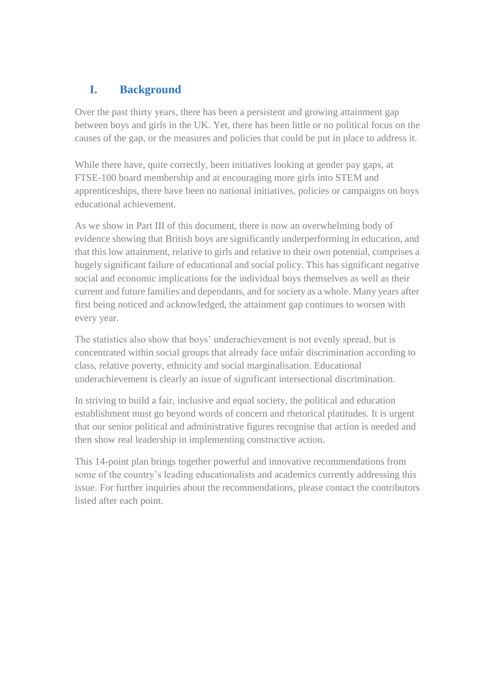# **I. Background**

Over the past thirty years, there has been a persistent and growing attainment gap between boys and girls in the UK. Yet, there has been little or no political focus on the causes of the gap, or the measures and policies that could be put in place to address it.

While there have, quite correctly, been initiatives looking at gender pay gaps, at FTSE-100 board membership and at encouraging more girls into STEM and apprenticeships, there have been no national initiatives, policies or campaigns on boys educational achievement.

As we show in Part III of this document, there is now an overwhelming body of evidence showing that British boys are significantly underperforming in education, and that this low attainment, relative to girls and relative to their own potential, comprises a hugely significant failure of educational and social policy. This has significant negative social and economic implications for the individual boys themselves as well as their current and future families and dependants, and for society as a whole. Many years after first being noticed and acknowledged, the attainment gap continues to worsen with every year.

The statistics also show that boys' underachievement is not evenly spread, but is concentrated within social groups that already face unfair discrimination according to class, relative poverty, ethnicity and social marginalisation. Educational underachievement is clearly an issue of significant intersectional discrimination.

In striving to build a fair, inclusive and equal society, the political and education establishment must go beyond words of concern and rhetorical platitudes. It is urgent that our senior political and administrative figures recognise that action is needed and then show real leadership in implementing constructive action.

This 14-point plan brings together powerful and innovative recommendations from some of the country's leading educationalists and academics currently addressing this issue. For further inquiries about the recommendations, please contact the contributors listed after each point.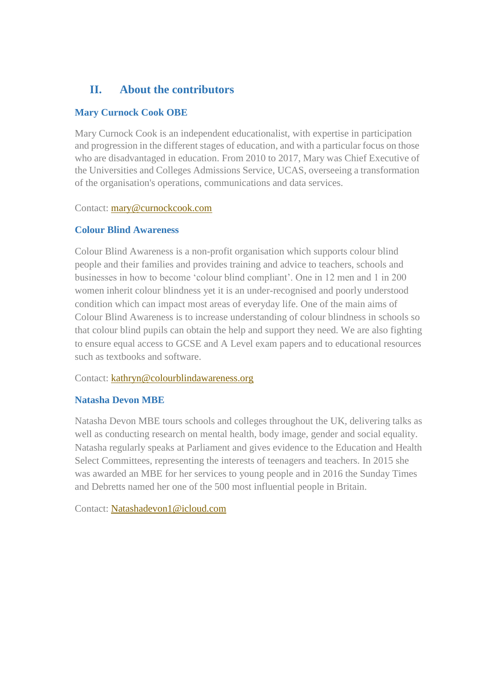# **II. About the contributors**

# **Mary Curnock Cook OBE**

Mary Curnock Cook is an independent educationalist, with expertise in participation and progression in the different stages of education, and with a particular focus on those who are disadvantaged in education. From 2010 to 2017, Mary was Chief Executive of the Universities and Colleges Admissions Service, UCAS, overseeing a transformation of the organisation's operations, communications and data services.

Contact: [mary@curnockcook.com](mailto:mary@curnockcook.com)

# **Colour Blind Awareness**

Colour Blind Awareness is a non-profit organisation which supports colour blind people and their families and provides training and advice to teachers, schools and businesses in how to become 'colour blind compliant'. One in 12 men and 1 in 200 women inherit colour blindness yet it is an under-recognised and poorly understood condition which can impact most areas of everyday life. One of the main aims of Colour Blind Awareness is to increase understanding of colour blindness in schools so that colour blind pupils can obtain the help and support they need. We are also fighting to ensure equal access to GCSE and A Level exam papers and to educational resources such as textbooks and software.

# Contact: [kathryn@colourblindawareness.org](mailto:kathryn@colourblindawareness.org)

# **Natasha Devon MBE**

Natasha Devon MBE tours schools and colleges throughout the UK, delivering talks as well as conducting research on mental health, body image, gender and social equality. Natasha regularly speaks at Parliament and gives evidence to the Education and Health Select Committees, representing the interests of teenagers and teachers. In 2015 she was awarded an MBE for her services to young people and in 2016 the Sunday Times and Debretts named her one of the 500 most influential people in Britain.

Contact: [Natashadevon1@icloud.com](mailto:Natashadevon1@icloud.com)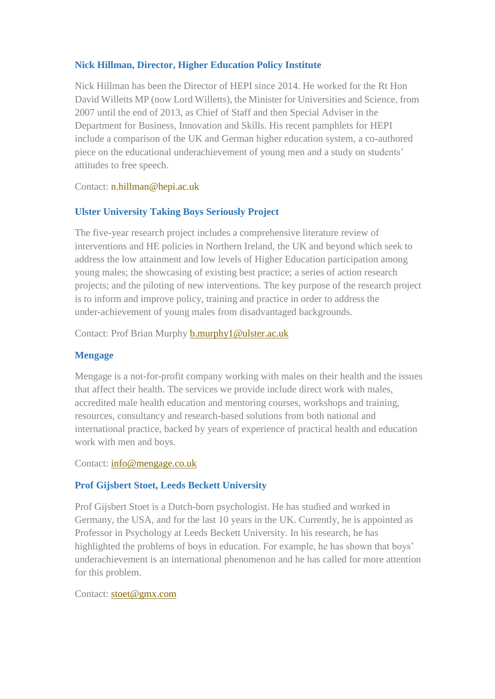## **Nick Hillman, Director, Higher Education Policy Institute**

Nick Hillman has been the Director of HEPI since 2014. He worked for the Rt Hon David Willetts MP (now Lord Willetts), the Minister for Universities and Science, from 2007 until the end of 2013, as Chief of Staff and then Special Adviser in the Department for Business, Innovation and Skills. His recent pamphlets for HEPI include [a comparison of the UK and German higher education system, a](http://www.hepi.ac.uk/wp-content/uploads/2015/09/HEPI-Keeping-Up-WEB.pdf) co-authored piece on the [educational underachievement of young men a](http://www.hepi.ac.uk/wp-content/uploads/2016/05/Boys-to-Men.pdf)nd a study on [students'](http://www.hepi.ac.uk/wp-content/uploads/2016/05/Hepi_Keeping-Schtum-Report-85-Web.pdf) [attitudes to free](http://www.hepi.ac.uk/wp-content/uploads/2016/05/Hepi_Keeping-Schtum-Report-85-Web.pdf) speech.

Contact: [n.hillman@hepi.ac.uk](mailto:n.hillman@hepi.ac.uk)

# **Ulster University Taking Boys Seriously Project**

The five-year research project includes a comprehensive literature review of interventions and HE policies in Northern Ireland, the UK and beyond which seek to address the low attainment and low levels of Higher Education participation among young males; the showcasing of existing best practice; a series of action research projects; and the piloting of new interventions. The key purpose of the research project is to inform and improve policy, training and practice in order to address the under-achievement of young males from disadvantaged backgrounds.

Contact: Prof Brian Murphy [b.murphy1@ulster.ac.uk](mailto:b.murphy1@ulster.ac.uk)

## **Mengage**

Mengage is a not-for-profit company working with males on their health and the issues that affect their health. The services we provide include direct work with males, accredited male health education and mentoring courses, workshops and training, resources, consultancy and research-based solutions from both national and international practice, backed by years of experience of practical health and education work with men and boys.

Contact: [info@mengage.co.uk](mailto:info@mengage.co.uk)

# **Prof Gijsbert Stoet, Leeds Beckett University**

Prof Gijsbert Stoet is a Dutch-born psychologist. He has studied and worked in Germany, the USA, and for the last 10 years in the UK. Currently, he is appointed as Professor in Psychology at Leeds Beckett University. In his research, he has highlighted the problems of boys in education. For example, he has shown that boys' underachievement is an international phenomenon and he has called for more attention for this problem.

Contact: [stoet@gmx.com](mailto:stoet@gmx.com)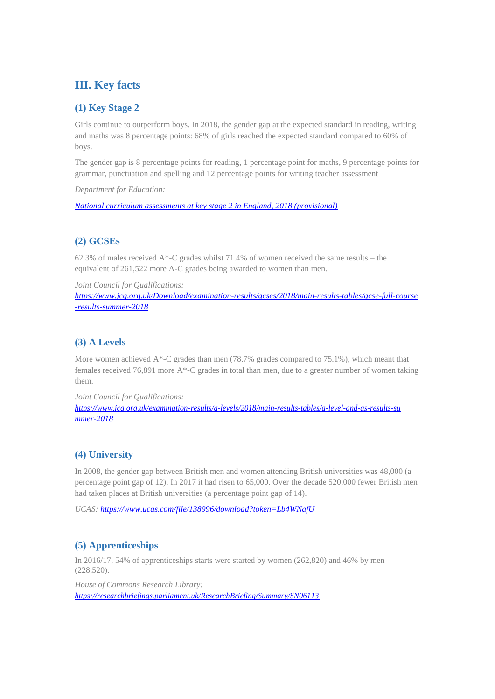# **III. Key facts**

## **(1) Key Stage 2**

Girls continue to outperform boys. In 2018, the gender gap at the expected standard in reading, writing and maths was 8 percentage points: 68% of girls reached the expected standard compared to 60% of boys.

The gender gap is 8 percentage points for reading, 1 percentage point for maths, 9 percentage points for grammar, punctuation and spelling and 12 percentage points for writing teacher assessment

*Department for Education:*

*[National curriculum assessments at key stage 2 in England, 2018 \(provisional\)](https://assets.publishing.service.gov.uk/government/uploads/system/uploads/attachment_data/file/641033/SFR43_KS2_2017_text.pdf)*

# **(2) GCSEs**

62.3% of males received  $A^*$ -C grades whilst 71.4% of women received the same results – the equivalent of 261,522 more A-C grades being awarded to women than men.

*Joint Council for Qualifications:*

*[https://www.jcq.org.uk/Download/examination-results/gcses/2018/main-results-tables/gcse-full-course](https://www.jcq.org.uk/Download/examination-results/gcses/2018/main-results-tables/gcse-full-course-results-summer-2018) [-results-summer-2018](https://www.jcq.org.uk/Download/examination-results/gcses/2018/main-results-tables/gcse-full-course-results-summer-2018)*

# **(3) A Levels**

More women achieved A\*-C grades than men (78.7% grades compared to 75.1%), which meant that females received 76,891 more A\*-C grades in total than men, due to a greater number of women taking them.

*Joint Council for Qualifications:*

*[https://www.jcq.org.uk/examination-results/a-levels/2018/main-results-tables/a-level-and-as-results-su](https://www.jcq.org.uk/examination-results/a-levels/2018/main-results-tables/a-level-and-as-results-summer-2018) [mmer-2018](https://www.jcq.org.uk/examination-results/a-levels/2018/main-results-tables/a-level-and-as-results-summer-2018)*

# **(4) University**

In 2008, the gender gap between British men and women attending British universities was 48,000 (a percentage point gap of 12). In 2017 it had risen to 65,000. Over the decade 520,000 fewer British men had taken places at British universities (a percentage point gap of 14).

*UCAS:<https://www.ucas.com/file/138996/download?token=Lb4WNafU>*

## **(5) Apprenticeships**

In 2016/17, 54% of apprenticeships starts were started by women (262,820) and 46% by men (228,520).

*House of Commons Research Library: <https://researchbriefings.parliament.uk/ResearchBriefing/Summary/SN06113>*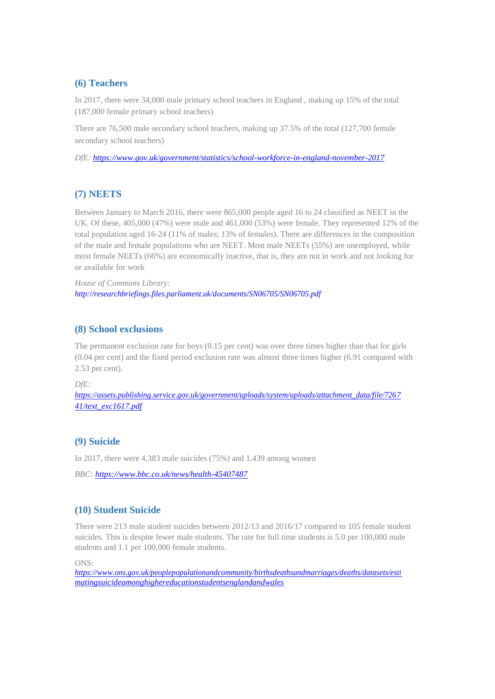## **(6) Teachers**

In 2017, there were 34,000 male primary school teachers in England , making up 15% of the total (187,000 female primary school teachers)

There are 76,500 male secondary school teachers, making up 37.5% of the total (127,700 female secondary school teachers)

*DfE:<https://www.gov.uk/government/statistics/school-workforce-in-england-november-2017>*

## **(7) NEETS**

Between January to March 2016, there were 865,000 people aged 16 to 24 classified as NEET in the UK. Of these, 405,000 (47%) were male and 461,000 (53%) were female. They represented 12% of the total population aged 16-24 (11% of males; 13% of females). There are differences in the composition of the male and female populations who are NEET. Most male NEETs (55%) are unemployed, while most female NEETs (66%) are economically inactive, that is, they are not in work and not looking for or available for work

*House of Commons Library: <http://researchbriefings.files.parliament.uk/documents/SN06705/SN06705.pdf>*

## **(8) School exclusions**

The permanent exclusion rate for boys (0.15 per cent) was over three times higher than that for girls (0.04 per cent) and the fixed period exclusion rate was almost three times higher (6.91 compared with 2.53 per cent).

*DfE:*

*[https://assets.publishing.service.gov.uk/government/uploads/system/uploads/attachment\\_data/file/7267](https://assets.publishing.service.gov.uk/government/uploads/system/uploads/attachment_data/file/726741/text_exc1617.pdf) [41/text\\_exc1617.pdf](https://assets.publishing.service.gov.uk/government/uploads/system/uploads/attachment_data/file/726741/text_exc1617.pdf)*

## **(9) Suicide**

In 2017, there were 4,383 male suicides (75%) and 1,439 among women

*BBC[: https://www.bbc.co.uk/news/health-45407487](https://www.bbc.co.uk/news/health-45407487)*

## **(10) Student Suicide**

There were 213 male student suicides between 2012/13 and 2016/17 compared to 105 female student suicides. This is despite fewer male students. The rate for full time students is 5.0 per 100,000 male students and 1.1 per 100,000 female students.

ONS:

*[https://www.ons.gov.uk/peoplepopulationandcommunity/birthsdeathsandmarriages/deaths/datasets/esti](https://www.ons.gov.uk/peoplepopulationandcommunity/birthsdeathsandmarriages/deaths/datasets/estimatingsuicideamonghighereducationstudentsenglandandwales) [matingsuicideamonghighereducationstudentsenglandandwales](https://www.ons.gov.uk/peoplepopulationandcommunity/birthsdeathsandmarriages/deaths/datasets/estimatingsuicideamonghighereducationstudentsenglandandwales)*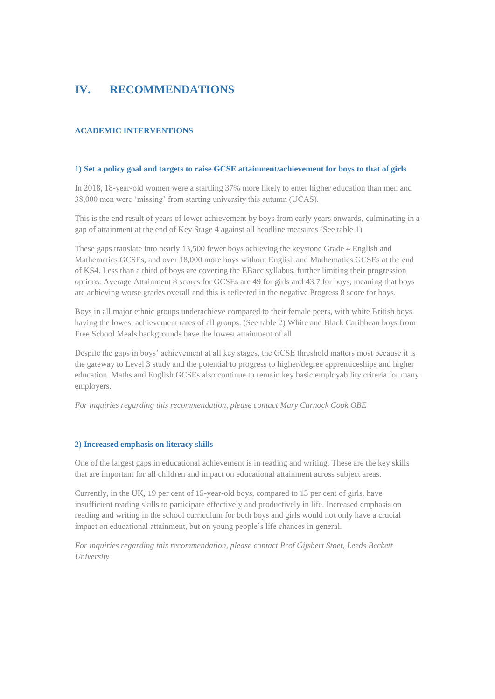# **IV. RECOMMENDATIONS**

## **ACADEMIC INTERVENTIONS**

### **1) Set a policy goal and targets to raise GCSE attainment/achievement for boys to that of girls**

In 2018, 18-year-old women were a startling 37% more likely to enter higher education than men and 38,000 men were 'missing' from starting university this autumn (UCAS).

This is the end result of years of lower achievement by boys from early years onwards, culminating in a gap of attainment at the end of Key Stage 4 against all headline measures (See table 1).

These gaps translate into nearly 13,500 fewer boys achieving the keystone Grade 4 English and Mathematics GCSEs, and over 18,000 more boys without English and Mathematics GCSEs at the end of KS4. Less than a third of boys are covering the EBacc syllabus, further limiting their progression options. Average Attainment 8 scores for GCSEs are 49 for girls and 43.7 for boys, meaning that boys are achieving worse grades overall and this is reflected in the negative Progress 8 score for boys.

Boys in all major ethnic groups underachieve compared to their female peers, with white British boys having the lowest achievement rates of all groups. (See table 2) White and Black Caribbean boys from Free School Meals backgrounds have the lowest attainment of all.

Despite the gaps in boys' achievement at all key stages, the GCSE threshold matters most because it is the gateway to Level 3 study and the potential to progress to higher/degree apprenticeships and higher education. Maths and English GCSEs also continue to remain key basic employability criteria for many employers.

*For inquiries regarding this recommendation, please contact Mary Curnock Cook OBE*

### **2) Increased emphasis on literacy skills**

One of the largest gaps in educational achievement is in reading and writing. These are the key skills that are important for all children and impact on educational attainment across subject areas.

Currently, in the UK, 19 per cent of 15-year-old boys, compared to 13 per cent of girls, have insufficient reading skills to participate effectively and productively in life. Increased emphasis on reading and writing in the school curriculum for both boys and girls would not only have a crucial impact on educational attainment, but on young people's life chances in general.

*For inquiries regarding this recommendation, please contact Prof Gijsbert Stoet, Leeds Beckett University*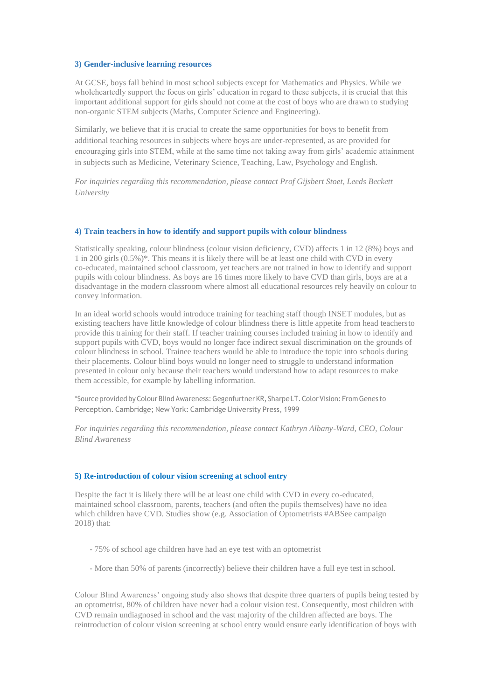#### **3) Gender-inclusive learning resources**

At GCSE, boys fall behind in most school subjects except for Mathematics and Physics. While we wholeheartedly support the focus on girls' education in regard to these subjects, it is crucial that this important additional support for girls should not come at the cost of boys who are drawn to studying non-organic STEM subjects (Maths, Computer Science and Engineering).

Similarly, we believe that it is crucial to create the same opportunities for boys to benefit from additional teaching resources in subjects where boys are under-represented, as are provided for encouraging girls into STEM, while at the same time not taking away from girls' academic attainment in subjects such as Medicine, Veterinary Science, Teaching, Law, Psychology and English.

*For inquiries regarding this recommendation, please contact Prof Gijsbert Stoet, Leeds Beckett University*

### **4) Train teachers in how to identify and support pupils with colour blindness**

Statistically speaking, colour blindness (colour vision deficiency, CVD) affects 1 in 12 (8%) boys and 1 in 200 girls (0.5%)\*. This means it is likely there will be at least one child with CVD in every co-educated, maintained school classroom, yet teachers are not trained in how to identify and support pupils with colour blindness. As boys are 16 times more likely to have CVD than girls, boys are at a disadvantage in the modern classroom where almost all educational resources rely heavily on colour to convey information.

In an ideal world schools would introduce training for teaching staff though INSET modules, but as existing teachers have little knowledge of colour blindness there is little appetite from head teachersto provide this training for their staff. If teacher training courses included training in how to identify and support pupils with CVD, boys would no longer face indirect sexual discrimination on the grounds of colour blindness in school. Trainee teachers would be able to introduce the topic into schools during their placements. Colour blind boys would no longer need to struggle to understand information presented in colour only because their teachers would understand how to adapt resources to make them accessible, for example by labelling information.

\*Sourceprovided byColour Blind Awareness:Gegenfurtner KR, SharpeLT. ColorVision: From Genes to Perception. Cambridge; New York: Cambridge University Press, 1999

*For inquiries regarding this recommendation, please contact Kathryn Albany-Ward, CEO, Colour Blind Awareness*

#### **5) Re-introduction of colour vision screening at school entry**

Despite the fact it is likely there will be at least one child with CVD in every co-educated, maintained school classroom, parents, teachers (and often the pupils themselves) have no idea which children have CVD. Studies show (e.g. Association of Optometrists #ABSee campaign 2018) that:

- 75% of school age children have had an eye test with an optometrist
- More than 50% of parents (incorrectly) believe their children have a full eye test in school.

Colour Blind Awareness' ongoing study also shows that despite three quarters of pupils being tested by an optometrist, 80% of children have never had a colour vision test. Consequently, most children with CVD remain undiagnosed in school and the vast majority of the children affected are boys. The reintroduction of colour vision screening at school entry would ensure early identification of boys with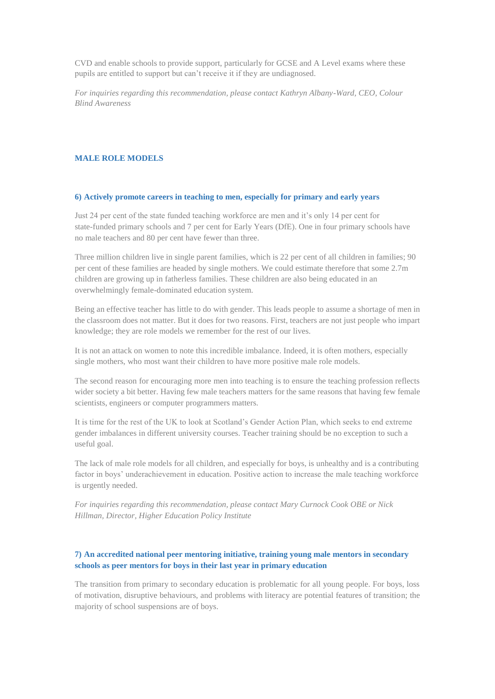CVD and enable schools to provide support, particularly for GCSE and A Level exams where these pupils are entitled to support but can't receive it if they are undiagnosed.

*For inquiries regarding this recommendation, please contact Kathryn Albany-Ward, CEO, Colour Blind Awareness*

#### **MALE ROLE MODELS**

### **6) Actively promote careers in teaching to men, especially for primary and early years**

Just 24 per cent of the state funded teaching workforce are men and it's only 14 per cent for state-funded primary schools and 7 per cent for Early Years (DfE). One in four primary schools have no male teachers and 80 per cent have fewer than three.

Three million children live in single parent families, which is 22 per cent of all children in families; 90 per cent of these families are headed by single mothers. We could estimate therefore that some 2.7m children are growing up in fatherless families. These children are also being educated in an overwhelmingly female-dominated education system.

Being an effective teacher has little to do with gender. This leads people to assume a shortage of men in the classroom does not matter. But it does for two reasons. First, teachers are not just people who impart knowledge; they are role models we remember for the rest of our lives.

It is not an attack on women to note this incredible imbalance. Indeed, it is often mothers, especially single mothers, who most want their children to have more positive male role models.

The second reason for encouraging more men into teaching is to ensure the teaching profession reflects wider society a bit better. Having few male teachers matters for the same reasons that having few female scientists, engineers or computer programmers matters.

It is time for the rest of the UK to look at Scotland's Gender Action Plan, which seeks to end extreme gender imbalances in different university courses. Teacher training should be no exception to such a useful goal.

The lack of male role models for all children, and especially for boys, is unhealthy and is a contributing factor in boys' underachievement in education. Positive action to increase the male teaching workforce is urgently needed.

*For inquiries regarding this recommendation, please contact Mary Curnock Cook OBE or Nick Hillman, Director, Higher Education Policy Institute*

### **7) An accredited national peer mentoring initiative, training young male mentors in secondary schools as peer mentors for boys in their last year in primary education**

The transition from primary to secondary education is problematic for all young people. For boys, loss of motivation, disruptive behaviours, and problems with literacy are potential features of transition; the majority of school suspensions are of boys.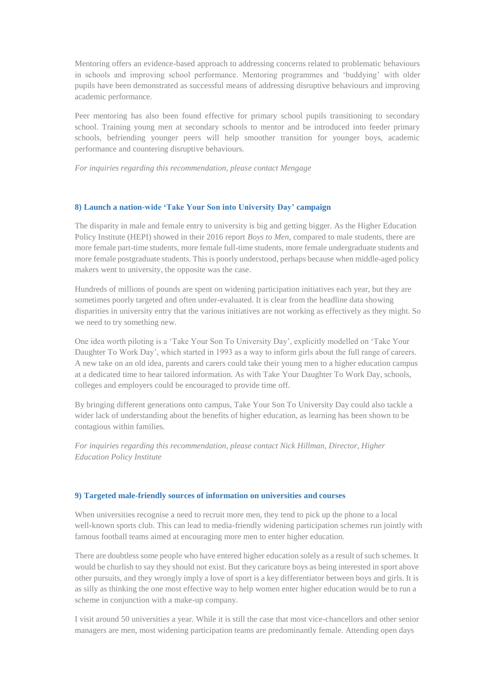Mentoring offers an evidence-based approach to addressing concerns related to problematic behaviours in schools and improving school performance. Mentoring programmes and 'buddying' with older pupils have been demonstrated as successful means of addressing disruptive behaviours and improving academic performance.

Peer mentoring has also been found effective for primary school pupils transitioning to secondary school. Training young men at secondary schools to mentor and be introduced into feeder primary schools, befriending younger peers will help smoother transition for younger boys, academic performance and countering disruptive behaviours.

*For inquiries regarding this recommendation, please contact Mengage*

### **8) Launch a nation-wide 'Take Your Son into University Day' campaign**

The disparity in male and female entry to university is big and getting bigger. As the Higher Education Policy Institute (HEPI) showed in their 2016 report *Boys to Men*, compared to male students, there are more female part-time students, more female full-time students, more female undergraduate students and more female postgraduate students. Thisis poorly understood, perhaps because when middle-aged policy makers went to university, the opposite was the case.

Hundreds of millions of pounds are spent on widening participation initiatives each year, but they are sometimes poorly targeted and often under-evaluated. It is clear from the headline data showing disparities in university entry that the various initiatives are not working as effectively as they might. So we need to try something new.

One idea worth piloting is a 'Take Your Son To University Day', explicitly modelled on 'Take Your Daughter To Work Day', which started in 1993 as a way to inform girls about the full range of careers. A new take on an old idea, parents and carers could take their young men to a higher education campus at a dedicated time to hear tailored information. As with Take Your Daughter To Work Day, schools, colleges and employers could be encouraged to provide time off.

By bringing different generations onto campus, Take Your Son To University Day could also tackle a wider lack of understanding about the benefits of higher education, as learning has been shown to be contagious within families.

*For inquiries regarding this recommendation, please contact Nick Hillman, Director, Higher Education Policy Institute*

### **9) Targeted male-friendly sources of information on universities and courses**

When universities recognise a need to recruit more men, they tend to pick up the phone to a local well-known sports club. This can lead to media-friendly widening participation schemes run jointly with famous football teams aimed at encouraging more men to enter higher education.

There are doubtless some people who have entered higher education solely as a result of such schemes. It would be churlish to say they should not exist. But they caricature boys as being interested in sport above other pursuits, and they wrongly imply a love of sport is a key differentiator between boys and girls. It is as silly as thinking the one most effective way to help women enter higher education would be to run a scheme in conjunction with a make-up company.

I visit around 50 universities a year. While it is still the case that most vice-chancellors and other senior managers are men, most widening participation teams are predominantly female. Attending open days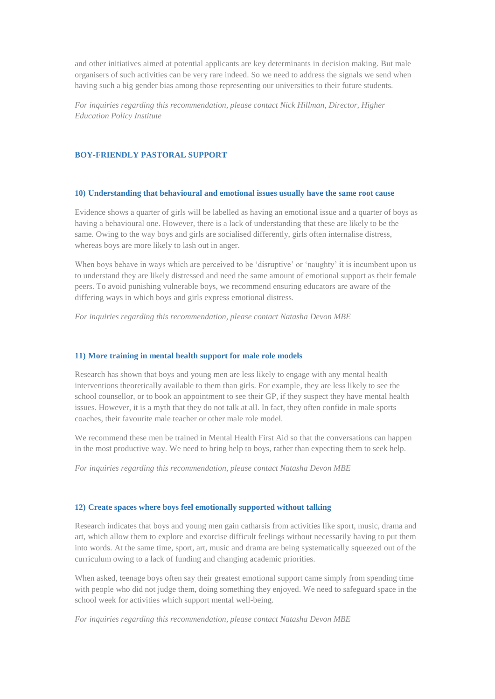and other initiatives aimed at potential applicants are key determinants in decision making. But male organisers of such activities can be very rare indeed. So we need to address the signals we send when having such a big gender bias among those representing our universities to their future students.

*For inquiries regarding this recommendation, please contact Nick Hillman, Director, Higher Education Policy Institute*

### **BOY-FRIENDLY PASTORAL SUPPORT**

#### **10) Understanding that behavioural and emotional issues usually have the same root cause**

Evidence shows a quarter of girls will be labelled as having an emotional issue and a quarter of boys as having a behavioural one. However, there is a lack of understanding that these are likely to be the same. Owing to the way boys and girls are socialised differently, girls often internalise distress, whereas boys are more likely to lash out in anger.

When boys behave in ways which are perceived to be 'disruptive' or 'naughty' it is incumbent upon us to understand they are likely distressed and need the same amount of emotional support as their female peers. To avoid punishing vulnerable boys, we recommend ensuring educators are aware of the differing ways in which boys and girls express emotional distress.

*For inquiries regarding this recommendation, please contact Natasha Devon MBE*

#### **11) More training in mental health support for male role models**

Research has shown that boys and young men are less likely to engage with any mental health interventions theoretically available to them than girls. For example, they are less likely to see the school counsellor, or to book an appointment to see their GP, if they suspect they have mental health issues. However, it is a myth that they do not talk at all. In fact, they often confide in male sports coaches, their favourite male teacher or other male role model.

We recommend these men be trained in Mental Health First Aid so that the conversations can happen in the most productive way. We need to bring help to boys, rather than expecting them to seek help.

*For inquiries regarding this recommendation, please contact Natasha Devon MBE*

### **12) Create spaces where boys feel emotionally supported without talking**

Research indicates that boys and young men gain catharsis from activities like sport, music, drama and art, which allow them to explore and exorcise difficult feelings without necessarily having to put them into words. At the same time, sport, art, music and drama are being systematically squeezed out of the curriculum owing to a lack of funding and changing academic priorities.

When asked, teenage boys often say their greatest emotional support came simply from spending time with people who did not judge them, doing something they enjoyed. We need to safeguard space in the school week for activities which support mental well-being.

*For inquiries regarding this recommendation, please contact Natasha Devon MBE*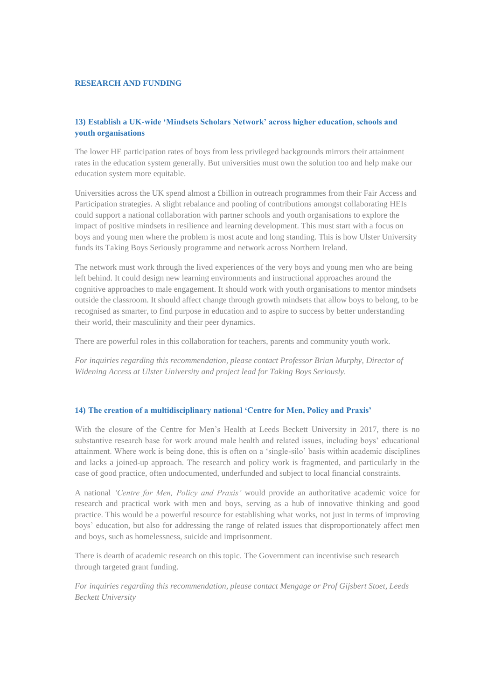#### **RESEARCH AND FUNDING**

## **13) Establish a UK-wide 'Mindsets Scholars Network' across higher education, schools and youth organisations**

The lower HE participation rates of boys from less privileged backgrounds mirrors their attainment rates in the education system generally. But universities must own the solution too and help make our education system more equitable.

Universities across the UK spend almost a £billion in outreach programmes from their Fair Access and Participation strategies. A slight rebalance and pooling of contributions amongst collaborating HEIs could support a national collaboration with partner schools and youth organisations to explore the impact of positive mindsets in resilience and learning development. This must start with a focus on boys and young men where the problem is most acute and long standing. This is how Ulster University funds its Taking Boys Seriously programme and network across Northern Ireland.

The network must work through the lived experiences of the very boys and young men who are being left behind. It could design new learning environments and instructional approaches around the cognitive approaches to male engagement. It should work with youth organisations to mentor mindsets outside the classroom. It should affect change through growth mindsets that allow boys to belong, to be recognised as smarter, to find purpose in education and to aspire to success by better understanding their world, their masculinity and their peer dynamics.

There are powerful roles in this collaboration for teachers, parents and community youth work.

*For inquiries regarding this recommendation, please contact Professor Brian Murphy, Director of Widening Access at Ulster University and project lead for Taking Boys Seriously.*

### **14) The creation of a multidisciplinary national 'Centre for Men, Policy and Praxis'**

With the closure of the Centre for Men's Health at Leeds Beckett University in 2017, there is no substantive research base for work around male health and related issues, including boys' educational attainment. Where work is being done, this is often on a 'single-silo' basis within academic disciplines and lacks a joined-up approach. The research and policy work is fragmented, and particularly in the case of good practice, often undocumented, underfunded and subject to local financial constraints.

A national *'Centre for Men, Policy and Praxis'* would provide an authoritative academic voice for research and practical work with men and boys, serving as a hub of innovative thinking and good practice. This would be a powerful resource for establishing what works, not just in terms of improving boys' education, but also for addressing the range of related issues that disproportionately affect men and boys, such as homelessness, suicide and imprisonment.

There is dearth of academic research on this topic. The Government can incentivise such research through targeted grant funding.

*For inquiries regarding this recommendation, please contact Mengage or Prof Gijsbert Stoet, Leeds Beckett University*